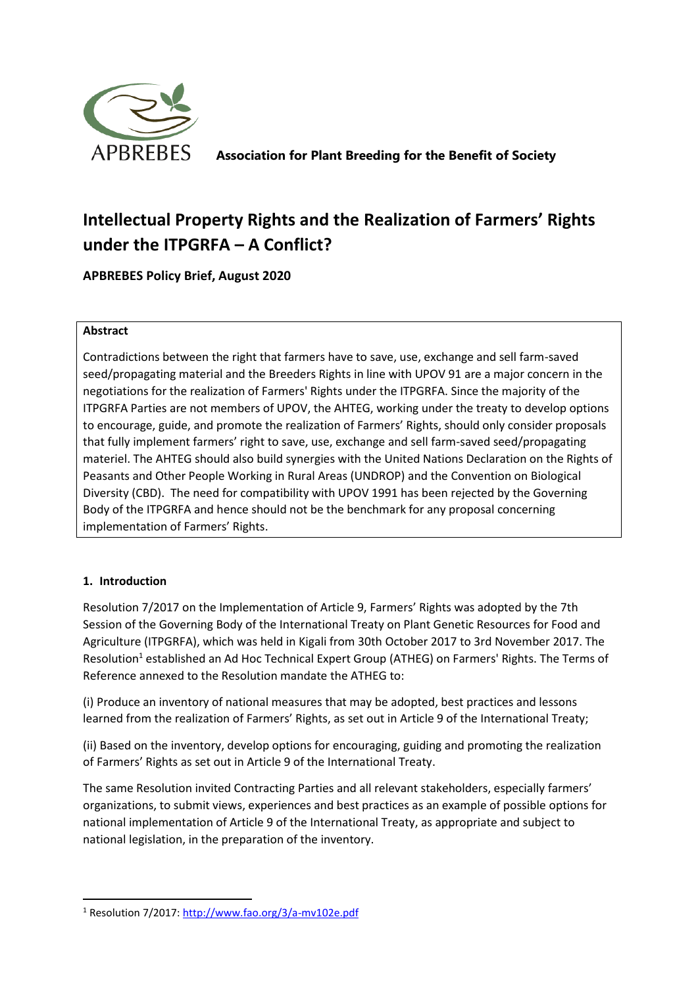

**Association for Plant Breeding for the Benefit of Society**

# **Intellectual Property Rights and the Realization of Farmers' Rights under the ITPGRFA – A Conflict?**

**APBREBES Policy Brief, August 2020**

### **Abstract**

Contradictions between the right that farmers have to save, use, exchange and sell farm-saved seed/propagating material and the Breeders Rights in line with UPOV 91 are a major concern in the negotiations for the realization of Farmers' Rights under the ITPGRFA. Since the majority of the ITPGRFA Parties are not members of UPOV, the AHTEG, working under the treaty to develop options to encourage, guide, and promote the realization of Farmers' Rights, should only consider proposals that fully implement farmers' right to save, use, exchange and sell farm-saved seed/propagating materiel. The AHTEG should also build synergies with the United Nations Declaration on the Rights of Peasants and Other People Working in Rural Areas (UNDROP) and the Convention on Biological Diversity (CBD). The need for compatibility with UPOV 1991 has been rejected by the Governing Body of the ITPGRFA and hence should not be the benchmark for any proposal concerning implementation of Farmers' Rights.

## **1. Introduction**

Resolution 7/2017 on the Implementation of Article 9, Farmers' Rights was adopted by the 7th Session of the Governing Body of the International Treaty on Plant Genetic Resources for Food and Agriculture (ITPGRFA), which was held in Kigali from 30th October 2017 to 3rd November 2017. The Resolution<sup>1</sup> established an Ad Hoc Technical Expert Group (ATHEG) on Farmers' Rights. The Terms of Reference annexed to the Resolution mandate the ATHEG to:

(i) Produce an inventory of national measures that may be adopted, best practices and lessons learned from the realization of Farmers' Rights, as set out in Article 9 of the International Treaty;

(ii) Based on the inventory, develop options for encouraging, guiding and promoting the realization of Farmers' Rights as set out in Article 9 of the International Treaty.

The same Resolution invited Contracting Parties and all relevant stakeholders, especially farmers' organizations, to submit views, experiences and best practices as an example of possible options for national implementation of Article 9 of the International Treaty, as appropriate and subject to national legislation, in the preparation of the inventory.

<sup>1</sup> Resolution 7/2017:<http://www.fao.org/3/a-mv102e.pdf>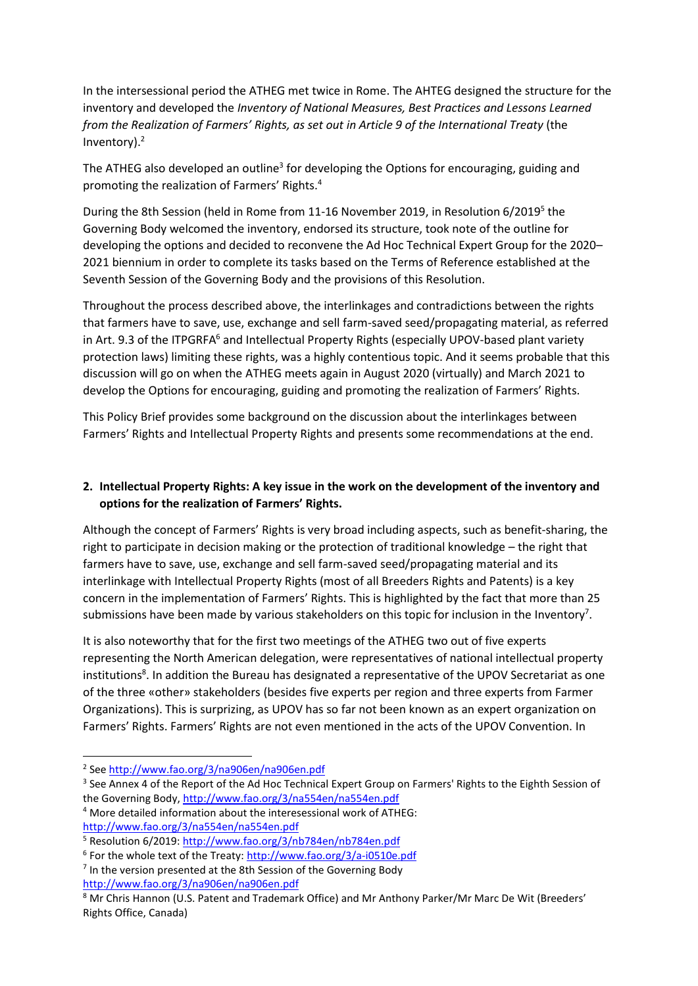In the intersessional period the ATHEG met twice in Rome. The AHTEG designed the structure for the inventory and developed the *Inventory of National Measures, Best Practices and Lessons Learned from the Realization of Farmers' Rights, as set out in Article 9 of the International Treaty* (the Inventory). 2

The ATHEG also developed an outline<sup>3</sup> for developing the Options for encouraging, guiding and promoting the realization of Farmers' Rights.<sup>4</sup>

During the 8th Session (held in Rome from 11-16 November 2019, in Resolution 6/2019<sup>5</sup> the Governing Body welcomed the inventory, endorsed its structure, took note of the outline for developing the options and decided to reconvene the Ad Hoc Technical Expert Group for the 2020– 2021 biennium in order to complete its tasks based on the Terms of Reference established at the Seventh Session of the Governing Body and the provisions of this Resolution.

Throughout the process described above, the interlinkages and contradictions between the rights that farmers have to save, use, exchange and sell farm-saved seed/propagating material, as referred in Art. 9.3 of the ITPGRFA<sup>6</sup> and Intellectual Property Rights (especially UPOV-based plant variety protection laws) limiting these rights, was a highly contentious topic. And it seems probable that this discussion will go on when the ATHEG meets again in August 2020 (virtually) and March 2021 to develop the Options for encouraging, guiding and promoting the realization of Farmers' Rights.

This Policy Brief provides some background on the discussion about the interlinkages between Farmers' Rights and Intellectual Property Rights and presents some recommendations at the end.

## **2. Intellectual Property Rights: A key issue in the work on the development of the inventory and options for the realization of Farmers' Rights.**

Although the concept of Farmers' Rights is very broad including aspects, such as benefit-sharing, the right to participate in decision making or the protection of traditional knowledge – the right that farmers have to save, use, exchange and sell farm-saved seed/propagating material and its interlinkage with Intellectual Property Rights (most of all Breeders Rights and Patents) is a key concern in the implementation of Farmers' Rights. This is highlighted by the fact that more than 25 submissions have been made by various stakeholders on this topic for inclusion in the Inventory<sup>7</sup>.

It is also noteworthy that for the first two meetings of the ATHEG two out of five experts representing the North American delegation, were representatives of national intellectual property institutions<sup>8</sup>. In addition the Bureau has designated a representative of the UPOV Secretariat as one of the three «other» stakeholders (besides five experts per region and three experts from Farmer Organizations). This is surprizing, as UPOV has so far not been known as an expert organization on Farmers' Rights. Farmers' Rights are not even mentioned in the acts of the UPOV Convention. In

<sup>&</sup>lt;sup>2</sup> See<http://www.fao.org/3/na906en/na906en.pdf>

<sup>&</sup>lt;sup>3</sup> See Annex 4 of the Report of the Ad Hoc Technical Expert Group on Farmers' Rights to the Eighth Session of the Governing Body,<http://www.fao.org/3/na554en/na554en.pdf>

<sup>4</sup> More detailed information about the interesessional work of ATHEG: <http://www.fao.org/3/na554en/na554en.pdf>

<sup>5</sup> Resolution 6/2019: <http://www.fao.org/3/nb784en/nb784en.pdf>

<sup>&</sup>lt;sup>6</sup> For the whole text of the Treaty[: http://www.fao.org/3/a-i0510e.pdf](http://www.fao.org/3/a-i0510e.pdf)

<sup>&</sup>lt;sup>7</sup> In the version presented at the 8th Session of the Governing Body <http://www.fao.org/3/na906en/na906en.pdf>

<sup>&</sup>lt;sup>8</sup> Mr Chris Hannon (U.S. Patent and Trademark Office) and Mr Anthony Parker/Mr Marc De Wit (Breeders' Rights Office, Canada)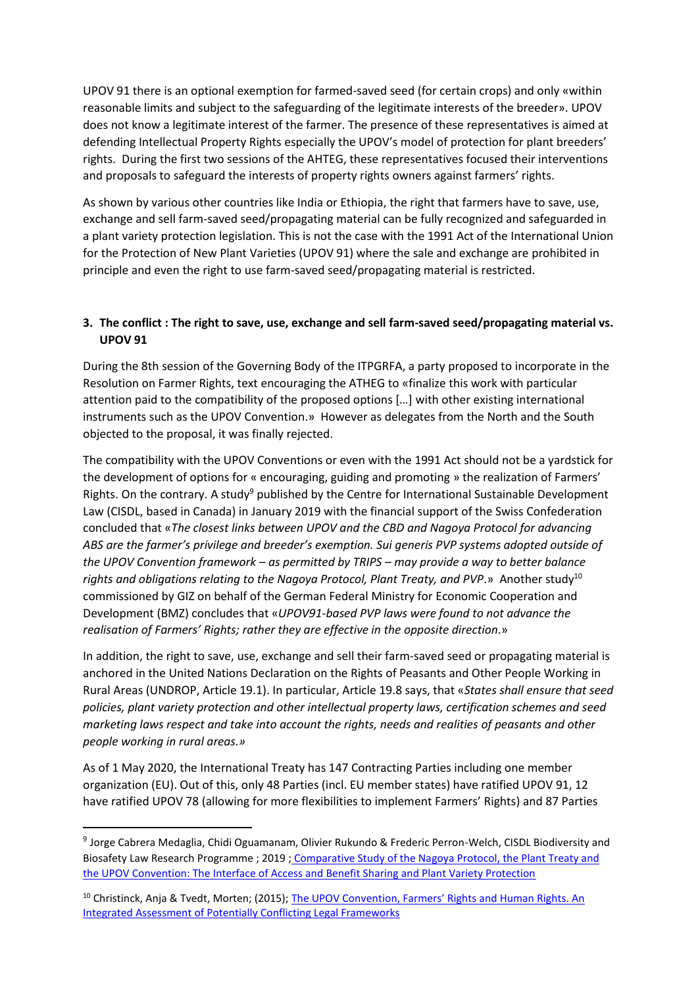UPOV 91 there is an optional exemption for farmed-saved seed (for certain crops) and only «within reasonable limits and subject to the safeguarding of the legitimate interests of the breeder». UPOV does not know a legitimate interest of the farmer. The presence of these representatives is aimed at defending Intellectual Property Rights especially the UPOV's model of protection for plant breeders' rights. During the first two sessions of the AHTEG, these representatives focused their interventions and proposals to safeguard the interests of property rights owners against farmers' rights.

As shown by various other countries like India or Ethiopia, the right that farmers have to save, use, exchange and sell farm-saved seed/propagating material can be fully recognized and safeguarded in a plant variety protection legislation. This is not the case with the 1991 Act of the International Union for the Protection of New Plant Varieties (UPOV 91) where the sale and exchange are prohibited in principle and even the right to use farm-saved seed/propagating material is restricted.

## **3. The conflict : The right to save, use, exchange and sell farm-saved seed/propagating material vs. UPOV 91**

During the 8th session of the Governing Body of the ITPGRFA, a party proposed to incorporate in the Resolution on Farmer Rights, text encouraging the ATHEG to «finalize this work with particular attention paid to the compatibility of the proposed options […] with other existing international instruments such as the UPOV Convention.» However as delegates from the North and the South objected to the proposal, it was finally rejected.

The compatibility with the UPOV Conventions or even with the 1991 Act should not be a yardstick for the development of options for « encouraging, guiding and promoting » the realization of Farmers' Rights. On the contrary. A study<sup>9</sup> published by the Centre for International Sustainable Development Law (CISDL, based in Canada) in January 2019 with the financial support of the Swiss Confederation concluded that «*The closest links between UPOV and the CBD and Nagoya Protocol for advancing ABS are the farmer's privilege and breeder's exemption. Sui generis PVP systems adopted outside of the UPOV Convention framework – as permitted by TRIPS – may provide a way to better balance*  rights and obligations relating to the Nagoya Protocol, Plant Treaty, and PVP.» Another study<sup>10</sup> commissioned by GIZ on behalf of the German Federal Ministry for Economic Cooperation and Development (BMZ) concludes that «*UPOV91-based PVP laws were found to not advance the realisation of Farmers' Rights; rather they are effective in the opposite direction*.»

In addition, the right to save, use, exchange and sell their farm-saved seed or propagating material is anchored in the United Nations Declaration on the Rights of Peasants and Other People Working in Rural Areas (UNDROP, Article 19.1). In particular, Article 19.8 says, that «*States shall ensure that seed policies, plant variety protection and other intellectual property laws, certification schemes and seed marketing laws respect and take into account the rights, needs and realities of peasants and other people working in rural areas.»*

As of 1 May 2020, the International Treaty has 147 Contracting Parties including one member organization (EU). Out of this, only 48 Parties (incl. EU member states) have ratified UPOV 91, 12 have ratified UPOV 78 (allowing for more flexibilities to implement Farmers' Rights) and 87 Parties

<sup>&</sup>lt;sup>9</sup> Jorge Cabrera Medaglia, Chidi Oguamanam, Olivier Rukundo & Frederic Perron-Welch, CISDL Biodiversity and Biosafety Law Research Programme ; 2019 ; [Comparative Study of the Nagoya Protocol, the Plant Treaty and](https://www.researchgate.net/profile/Jorge_Medaglia/publication/330716365_Comparative_Study_of_the_Nagoya_Protocolthe_Plant_Treaty_andthe_UPOV_Convention_The_Interface_of_Access_and_Benefit_Sharing_and_Plant_Variety_Protection/links/5c59bb67a6fdccb608a98796/Comparative-Study-of-the-Nagoya-Protocol-the-Plant-Treaty-andthe-UPOV-Convention-The-Interface-of-Access-and-Benefit-Sharing-and-Plant-Variety-Protection.pdf)  [the UPOV Convention: The Interface of Access and Benefit Sharing and Plant Variety Protection](https://www.researchgate.net/profile/Jorge_Medaglia/publication/330716365_Comparative_Study_of_the_Nagoya_Protocolthe_Plant_Treaty_andthe_UPOV_Convention_The_Interface_of_Access_and_Benefit_Sharing_and_Plant_Variety_Protection/links/5c59bb67a6fdccb608a98796/Comparative-Study-of-the-Nagoya-Protocol-the-Plant-Treaty-andthe-UPOV-Convention-The-Interface-of-Access-and-Benefit-Sharing-and-Plant-Variety-Protection.pdf)

<sup>&</sup>lt;sup>10</sup> Christinck, Anja & Tvedt, Morten; (2015); The UPOV Convention, Farmers' Rights and Human Rights. An [Integrated Assessment of Potentially Conflicting Legal Frameworks](https://www.researchgate.net/publication/280234837_The_UPOV_Convention_Farmers)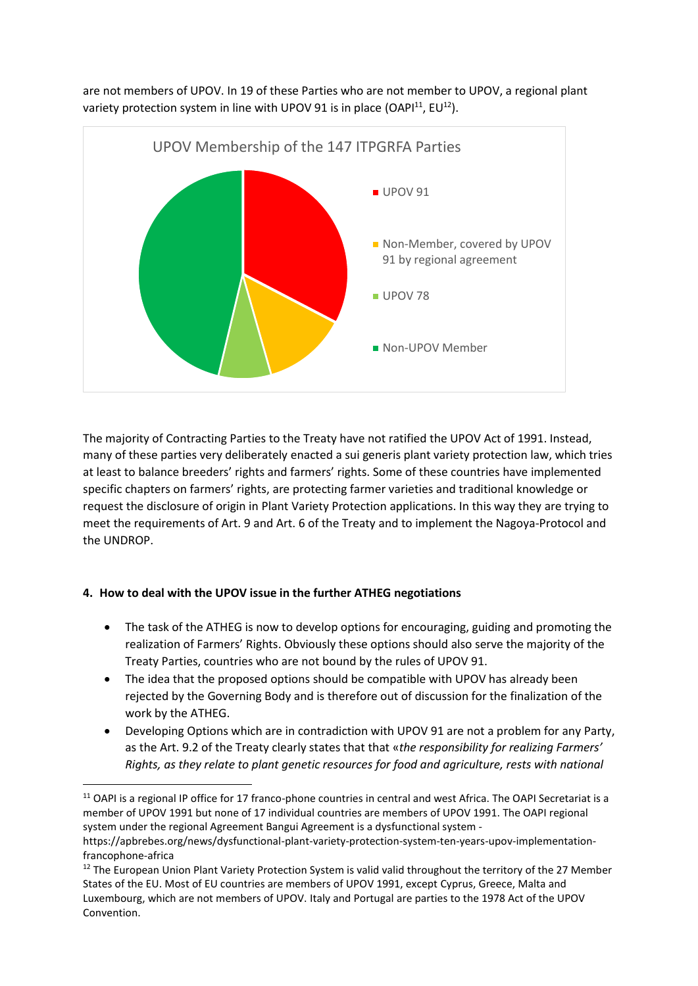

are not members of UPOV. In 19 of these Parties who are not member to UPOV, a regional plant variety protection system in line with UPOV 91 is in place (OAP $1^{11}$ , EU $1^{2}$ ).

The majority of Contracting Parties to the Treaty have not ratified the UPOV Act of 1991. Instead, many of these parties very deliberately enacted a sui generis plant variety protection law, which tries at least to balance breeders' rights and farmers' rights. Some of these countries have implemented specific chapters on farmers' rights, are protecting farmer varieties and traditional knowledge or request the disclosure of origin in Plant Variety Protection applications. In this way they are trying to meet the requirements of Art. 9 and Art. 6 of the Treaty and to implement the Nagoya-Protocol and the UNDROP.

### **4. How to deal with the UPOV issue in the further ATHEG negotiations**

- The task of the ATHEG is now to develop options for encouraging, guiding and promoting the realization of Farmers' Rights. Obviously these options should also serve the majority of the Treaty Parties, countries who are not bound by the rules of UPOV 91.
- The idea that the proposed options should be compatible with UPOV has already been rejected by the Governing Body and is therefore out of discussion for the finalization of the work by the ATHEG.
- Developing Options which are in contradiction with UPOV 91 are not a problem for any Party, as the Art. 9.2 of the Treaty clearly states that that «*the responsibility for realizing Farmers' Rights, as they relate to plant genetic resources for food and agriculture, rests with national*

 $11$  OAPI is a regional IP office for 17 franco-phone countries in central and west Africa. The OAPI Secretariat is a member of UPOV 1991 but none of 17 individual countries are members of UPOV 1991. The OAPI regional system under the regional Agreement Bangui Agreement is a dysfunctional system -

https://apbrebes.org/news/dysfunctional-plant-variety-protection-system-ten-years-upov-implementationfrancophone-africa

<sup>&</sup>lt;sup>12</sup> The European Union Plant Variety Protection System is valid valid throughout the territory of the 27 Member States of the EU. Most of EU countries are members of UPOV 1991, except Cyprus, Greece, Malta and Luxembourg, which are not members of UPOV. Italy and Portugal are parties to the 1978 Act of the UPOV Convention.